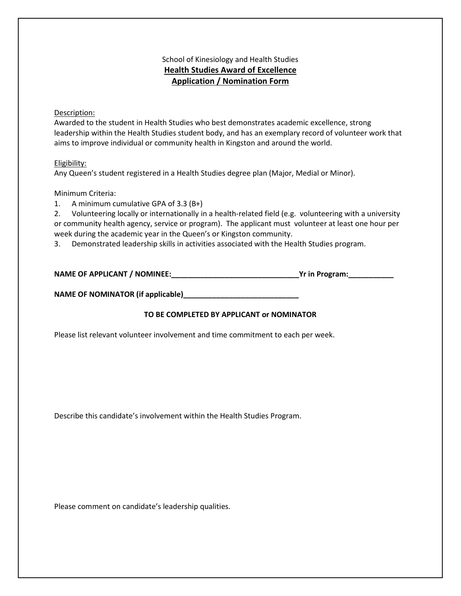## School of Kinesiology and Health Studies **Health Studies Award of Excellence Application / Nomination Form**

#### Description:

Awarded to the student in Health Studies who best demonstrates academic excellence, strong leadership within the Health Studies student body, and has an exemplary record of volunteer work that aims to improve individual or community health in Kingston and around the world.

#### Eligibility:

Any Queen's student registered in a Health Studies degree plan (Major, Medial or Minor).

#### Minimum Criteria:

1. A minimum cumulative GPA of 3.3 (B+)

2. Volunteering locally or internationally in a health-related field (e.g. volunteering with a university or community health agency, service or program). The applicant must volunteer at least one hour per week during the academic year in the Queen's or Kingston community.

3. Demonstrated leadership skills in activities associated with the Health Studies program.

| <b>NAME OF APPLICANT / NOMINEE:</b> |  | Yr in Program: |
|-------------------------------------|--|----------------|
|-------------------------------------|--|----------------|

**NAME OF NOMINATOR (if applicable)\_\_\_\_\_\_\_\_\_\_\_\_\_\_\_\_\_\_\_\_\_\_\_\_\_\_\_\_**

### **TO BE COMPLETED BY APPLICANT or NOMINATOR**

Please list relevant volunteer involvement and time commitment to each per week.

Describe this candidate's involvement within the Health Studies Program.

Please comment on candidate's leadership qualities.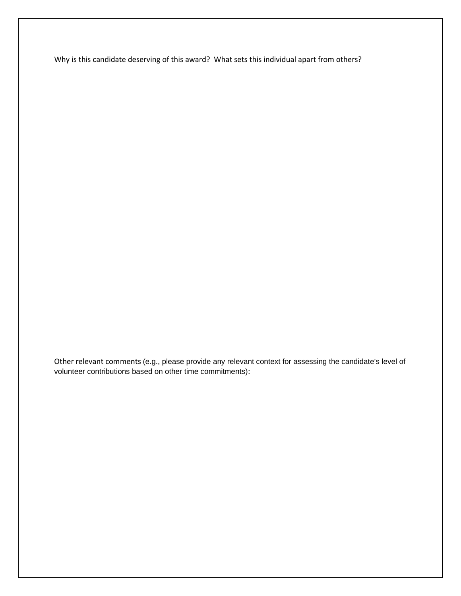Why is this candidate deserving of this award? What sets this individual apart from others?

Other relevant comments (e.g., please provide any relevant context for assessing the candidate's level of volunteer contributions based on other time commitments):